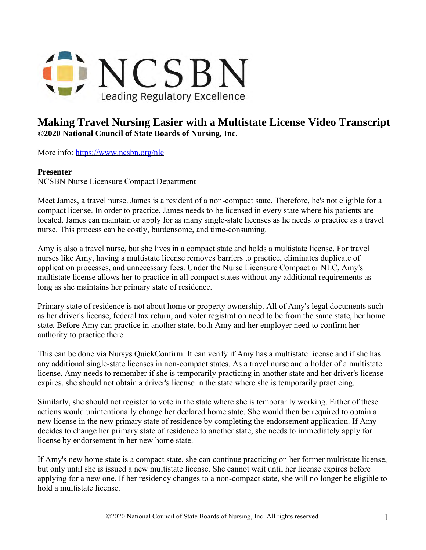

## **Making Travel Nursing Easier with a Multistate License Video Transcript ©2020 National Council of State Boards of Nursing, Inc.**

More info: <https://www.ncsbn.org/nlc>

## **Presenter**

NCSBN Nurse Licensure Compact Department

Meet James, a travel nurse. James is a resident of a non-compact state. Therefore, he's not eligible for a compact license. In order to practice, James needs to be licensed in every state where his patients are located. James can maintain or apply for as many single-state licenses as he needs to practice as a travel nurse. This process can be costly, burdensome, and time-consuming.

Amy is also a travel nurse, but she lives in a compact state and holds a multistate license. For travel nurses like Amy, having a multistate license removes barriers to practice, eliminates duplicate of application processes, and unnecessary fees. Under the Nurse Licensure Compact or NLC, Amy's multistate license allows her to practice in all compact states without any additional requirements as long as she maintains her primary state of residence.

Primary state of residence is not about home or property ownership. All of Amy's legal documents such as her driver's license, federal tax return, and voter registration need to be from the same state, her home state. Before Amy can practice in another state, both Amy and her employer need to confirm her authority to practice there.

This can be done via Nursys QuickConfirm. It can verify if Amy has a multistate license and if she has any additional single-state licenses in non-compact states. As a travel nurse and a holder of a multistate license, Amy needs to remember if she is temporarily practicing in another state and her driver's license expires, she should not obtain a driver's license in the state where she is temporarily practicing.

Similarly, she should not register to vote in the state where she is temporarily working. Either of these actions would unintentionally change her declared home state. She would then be required to obtain a new license in the new primary state of residence by completing the endorsement application. If Amy decides to change her primary state of residence to another state, she needs to immediately apply for license by endorsement in her new home state.

If Amy's new home state is a compact state, she can continue practicing on her former multistate license, but only until she is issued a new multistate license. She cannot wait until her license expires before applying for a new one. If her residency changes to a non-compact state, she will no longer be eligible to hold a multistate license.